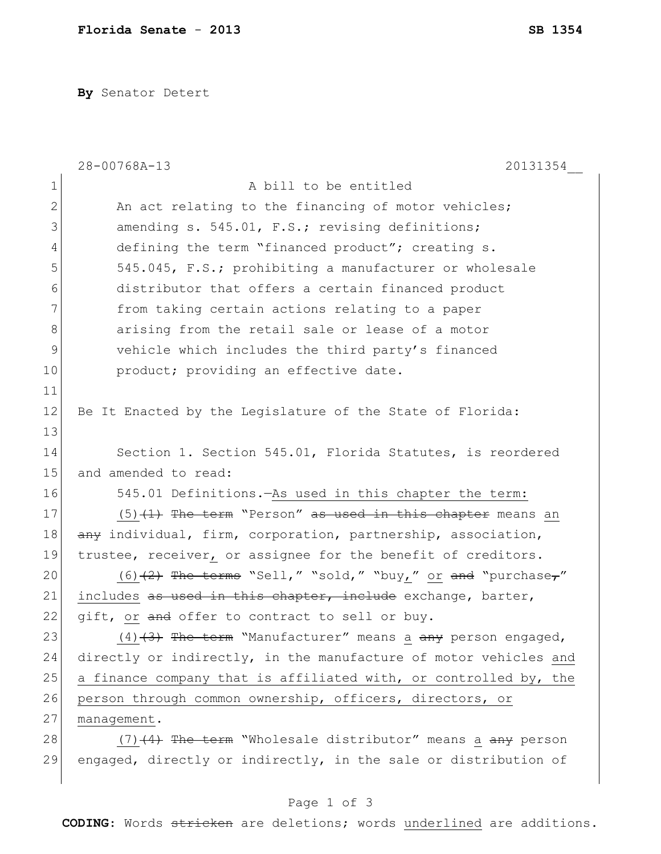**By** Senator Detert

|              | 28-00768A-13<br>20131354                                         |
|--------------|------------------------------------------------------------------|
| 1            | A bill to be entitled                                            |
| $\mathbf{2}$ | An act relating to the financing of motor vehicles;              |
| 3            | amending s. 545.01, F.S.; revising definitions;                  |
| 4            | defining the term "financed product"; creating s.                |
| 5            | 545.045, F.S.; prohibiting a manufacturer or wholesale           |
| 6            | distributor that offers a certain financed product               |
| 7            | from taking certain actions relating to a paper                  |
| 8            | arising from the retail sale or lease of a motor                 |
| 9            | vehicle which includes the third party's financed                |
| 10           | product; providing an effective date.                            |
| 11           |                                                                  |
| 12           | Be It Enacted by the Legislature of the State of Florida:        |
| 13           |                                                                  |
| 14           | Section 1. Section 545.01, Florida Statutes, is reordered        |
| 15           | and amended to read:                                             |
| 16           | 545.01 Definitions. As used in this chapter the term:            |
| 17           | $(5)$ $(1)$ The term "Person" as used in this chapter means an   |
| 18           | any individual, firm, corporation, partnership, association,     |
| 19           | trustee, receiver, or assignee for the benefit of creditors.     |
| 20           | $(6)$ $(2)$ The terms "Sell," "sold," "buy," or and "purchase,"  |
| 21           | includes as used in this chapter, include exchange, barter,      |
| 22           | gift, or and offer to contract to sell or buy.                   |
| 23           | (4) (3) The term "Manufacturer" means a any person engaged,      |
| 24           | directly or indirectly, in the manufacture of motor vehicles and |
| 25           | a finance company that is affiliated with, or controlled by, the |
| 26           | person through common ownership, officers, directors, or         |
| 27           | management.                                                      |
| 28           | $(7)$ $(4)$ The term "Wholesale distributor" means a any person  |
| 29           | engaged, directly or indirectly, in the sale or distribution of  |
|              |                                                                  |

## Page 1 of 3

**CODING**: Words stricken are deletions; words underlined are additions.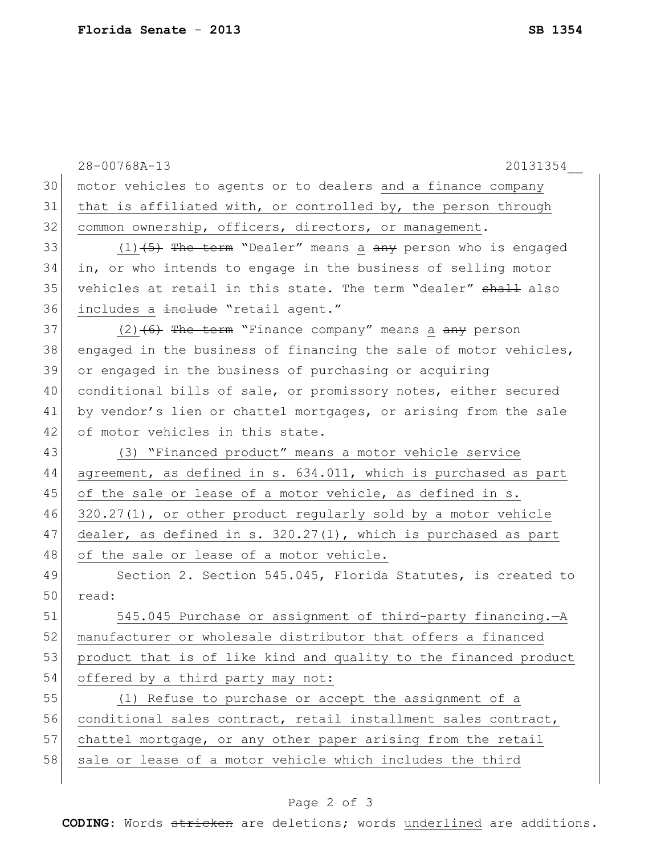|    | 28-00768A-13<br>20131354                                          |
|----|-------------------------------------------------------------------|
| 30 | motor vehicles to agents or to dealers and a finance company      |
| 31 | that is affiliated with, or controlled by, the person through     |
| 32 | common ownership, officers, directors, or management.             |
| 33 | $(1)$ $(5)$ The term "Dealer" means a any person who is engaged   |
| 34 | in, or who intends to engage in the business of selling motor     |
| 35 | vehicles at retail in this state. The term "dealer" shall also    |
| 36 | includes a include "retail agent."                                |
| 37 | $(2)$ $(6)$ The term "Finance company" means a any person         |
| 38 | engaged in the business of financing the sale of motor vehicles,  |
| 39 | or engaged in the business of purchasing or acquiring             |
| 40 | conditional bills of sale, or promissory notes, either secured    |
| 41 | by vendor's lien or chattel mortgages, or arising from the sale   |
| 42 | of motor vehicles in this state.                                  |
| 43 | (3) "Financed product" means a motor vehicle service              |
| 44 | agreement, as defined in s. 634.011, which is purchased as part   |
| 45 | of the sale or lease of a motor vehicle, as defined in s.         |
| 46 | $320.27(1)$ , or other product regularly sold by a motor vehicle  |
| 47 | dealer, as defined in s. $320.27(1)$ , which is purchased as part |
| 48 | of the sale or lease of a motor vehicle.                          |
| 49 | Section 2. Section 545.045, Florida Statutes, is created to       |
| 50 | read:                                                             |
| 51 | 545.045 Purchase or assignment of third-party financing.-A        |
| 52 | manufacturer or wholesale distributor that offers a financed      |
| 53 | product that is of like kind and quality to the financed product  |
| 54 | offered by a third party may not:                                 |
| 55 | (1) Refuse to purchase or accept the assignment of a              |
| 56 | conditional sales contract, retail installment sales contract,    |
| 57 | chattel mortgage, or any other paper arising from the retail      |
| 58 | sale or lease of a motor vehicle which includes the third         |
|    |                                                                   |

## Page 2 of 3

**CODING**: Words stricken are deletions; words underlined are additions.